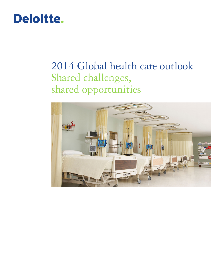# Deloitte.

# 2014 Global health care outlook Shared challenges, shared opportunities

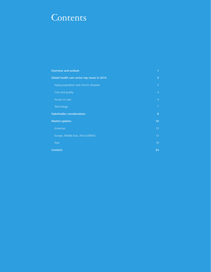# **Contents**

| <b>Overview and outlook</b>                  | 1              |
|----------------------------------------------|----------------|
| Global health care sector top issues in 2014 | 3              |
| Aging population and chronic diseases        | $\overline{3}$ |
| Cost and quality                             | $\overline{4}$ |
| Access to care                               | $\overline{4}$ |
| Technology                                   | 7              |
| <b>Stakeholder considerations</b>            | 8              |
| <b>Market updates</b>                        | 10             |
| Americas                                     | 10             |
| Europe, Middle East, Africa (EMEA)           | 13             |
| Asia                                         | 18             |
| <b>Contacts</b>                              | 24             |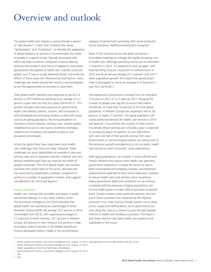# Overview and outlook

The global health care industry is going through a period of "glocalization," a term that combines the words "globalization" and "localization" to describe the adaptation of global products or services to accommodate the needs of people in a specific locale. Typically associated with efforts by large consumer companies to boost sales by tailoring their products and menus to appeal to local tastes, glocalization also applies to health care: Industry issues are global, even if care is usually delivered locally. And while the effects of these issues are influenced by local factors, many challenges are shared around the world to varying degrees, as are the opportunities to innovate to solve them.

Total global health spending was expected to rise by 2.6 percent in 2013 before accelerating to an average of 5.3 percent a year over the next four years (2014-2017).<sup>1</sup> This growth will place enormous pressure on governments, health care delivery systems, insurers, and consumers in both developed and emerging markets to deal with issues such as an aging population, the rising prevalence of numerous chronic diseases, soaring costs, uneven quality, imbalanced access to care due to workforce shortages, infrastructure limitations and patient locations, and disruptive technologies.

Across the globe there have never been more health care challenges than there are today. However, these challenges can push stakeholders to innovate in new and exciting ways and to generate scientific, medical, and care delivery breakthroughs that can improve the health of people worldwide. This 2014 global health care outlook examines the current state of the sector, describes the top issues facing stakeholders, provides a snapshot of activity in a number of geographic markets, and suggests considerations for 2014 and beyond.

#### **Sector overview**

Health care, among both providers and payers in public and private settings, is a very costly industry sector. The Economist Intelligence Unit (EIU) estimates that global health care spending as a percentage of Gross Domestic Product (GDP) will average 10.5 percent in 2014 (unchanged from 2013), with regional percentages of 17.4 percent in North America, 10.7 percent in Western Europe, 8.0 percent in Latin America, 6.6 percent in Asia/ Australasia, and 6.4 percent in the Middle East/Africa.<sup>2</sup> Among developed nations, health is the second-largest

category of government spending, after social protection (social assistance, health/unemployment insurance).3

Most of the countries across the globe are facing a formidable challenge to manage the rapidly increasing cost of health care. Although spending rose by just an estimated 1.9 percent in 2012, it is expected to pick up again, with total spending rising by 2.6 percent in nominal terms in 2013 and by an annual average of 5.3 percent until 2017.4 Given population growth, this means that spending per head is anticipated to rise by an average of 4.4 percent a year from 2014-2017.

Life expectancy is projected to increase from an estimated 72.6 years in 2012 to 73.7 years by 2017, bringing the number of people over age 65 to around 560 million worldwide, or more than 10 percent of the total global population. In Western Europe the proportion will hit 20 percent; in Japan, 27 percent. The aging population will create additional demand for health care services in 2014 and beyond.5 Concurrently, the number of high-income households (those earning over \$25,000 a year) is expected to increase by about 10 percent, to over 500 million, with over one-half of that growth coming from Asia.<sup>6</sup> Governments in many emerging markets are taking note of this economic growth and planning to roll out public health care services to meet consumers' rising expectations.

With aging populations, an increase in those inflicted with chronic ailments that require more health care spending, government initiatives to increase the access to care in both industrialized and emerging markets, and treatment advancements expected to drive sector expansion, pressure to reduce health care costs remains and is escalating. Heavy government debts and constraints on tax revenue, combined with the pressures of aging populations, are forcing health payers to make difficult decisions on benefit levels. Europe remains under particular pressure, and not just in those countries most impacted by the regional economic crisis. After forcing through painful cuts to drug prices, wages and staffing levels, some governments are now using the crisis as a chance to push through broader reforms to health care funding or provision. The hope is that these reforms may make health care systems more sustainable in the future.

<sup>1</sup> *World Healthcare Outlook,* Economist Intelligence Unit, August 14, 2013. Total spending is for the 60 markets that EIU covers.

<sup>2</sup> *World Healthcare Outlook,* Economist Intelligence Unit, August 14, 2013

Health expenditure, total (% of GDP) data, World Bank

<sup>4</sup> *World Healthcare Outlook,* Economist Intelligence Unit, August 14, 2013

<sup>5</sup> Ibid <sup>6</sup> Ibid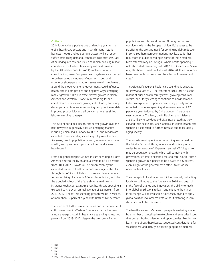#### **Outlook**

2014 looks to be a positive but challenging year for the global health care sector; one in which many historic business models and operating processes will no longer suffice amid rising demand, continued cost pressures, lack of or inadequate care facilities, and rapidly evolving market conditions. The United States likely will be dominated by the Affordable Care Act (ACA) implementation and consolidation; many European health systems are expected to be hampered by monetary/recession issues; and workforce shortages and access issues remain problematic around the globe. Changing governments could influence health care in both positive and negative ways; emerging market growth is likely to offset slower growth in North America and Western Europe; numerous digital and ehealth/data initiatives are gaining critical mass; and many developed countries are encouraging best-practice models, improved productivity and efficiencies, as well as skilled labor-minimizing strategies.

The outlook for global health care sector growth over the next few years is generally positive. Emerging markets including China, India, Indonesia, Russia, and Mexico are expected to see spending increase quickly over the next five years, due to population growth, increasing consumer wealth, and government programs to expand access to health care.<sup>7</sup>

From a regional perspective, health care spending in North America is set to rise by an annual average of 4.4 percent from 2013-2017. Growth will be driven partly by the expanded access to health insurance coverage in the U.S. through the ACA and Medicaid. However, there continue to be stumbling blocks with ACA implementation, including the troubled rollout of the federally operated health insurance exchange. Latin American health care spending is expected to rise by an annual average of 6.8 percent from 2013-2017. The fastest spending growth will be in Mexico, at more than 10 percent a year, with Brazil at 6.8 percent.<sup>8</sup>

The specter of further economic woes and subsequent costcutting measures in Western Europe is expected to slow annual average growth in health care spending to just two percent from 2013-2017, despite the pressures of aging

populations and chronic diseases. Although economic conditions within the European Union (EU) appear to be stabilizing, the pressing need for continuing debt reduction in some southern European nations may lead to further reductions in public spending in some of these markets. Most affected may be Portugal, where health spending is unlikely to start recovering until 2017, but Greece and Spain may also have to wait until at least 2016. All three countries have seen public protests over the effects of government cuts.9

The Asia-Pacific region's health care spending is expected to grow at a rate of 7.1 percent from 2013-2017,<sup>10</sup> as the rollout of public health care systems, growing consumer wealth, and lifestyle changes continue to boost demand. India has expanded its primary care policy priority and is expected to increase spending at an average rate of 17 percent a year, followed by China at over 14 percent a year. Indonesia, Thailand, the Philippines, and Malaysia are also likely to see double-digit annual growth as they expand their health insurance systems. In Japan, health care spending is expected to further increase due to its rapidly aging society.

The fastest-growing region in the coming years could be the Middle East and Africa, where spending is expected to rise by an average of 10 percent annually.<sup>11</sup> A key driver may be population growth, which will combine with government efforts to expand access to care. South Africa's spending growth is expected to be slower, at 5.6 percent, even in light of the government's efforts to introduce universal health care.

The concept of glocalization — thinking globally but acting locally — will move to the forefront in 2014 and beyond. In the face of change and innovation, the ability to reach into global jurisdictions to learn and mitigate the risk of local change will be invaluable. Conversely, trying to apply global solutions to local markets without factoring in local dynamics could be disastrous.

The health care sector's growth prospects are being shaped by a number of glocalized marketplace and enterprise issues that present both challenges and opportunities. Read on to learn more about these issues, suggested considerations for stakeholders, and activity in specific geographic markets.

<sup>7</sup> Ibid

<sup>8</sup> Ibid

<sup>9</sup> Ibid

<sup>10</sup> Ibid

<sup>11</sup> *World Healthcare Outlook,* Economist Intelligence Unit, August 14, 2013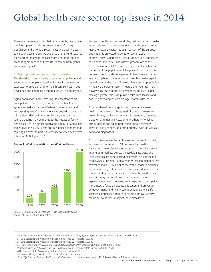# Global health care sector top issues in 2014

There are four major issues that governments, health care providers, payers, and consumers face in 2014: aging population and chronic diseases; cost and quality; access to care; and technology. As evidence of the trend towards glocalization, many of the challenges and opportunities emanating from each of these issues can be both global and market-specific.

#### **1. Aging population and chronic diseases**

The shared, long-term trends of an aging population and an increase in people inflicted with chronic diseases are expected to drive demand for health care services in both developed and emerging economies in 2014 and beyond.

Aging populations and increasing life expectancies are anticipated to place a huge burden on the health care system in markets such as Western Europe, Japan, and — surprisingly — China, where it is expected to combine with a sharp decline in the number of young people. (China's decline may be related to the impact of family size policies.)<sup>12</sup> The global population age 60 or above has tripled over the last 50 years and is expected to more than triple again over the next half-century, to reach nearly two billion in 2050 (Figure 1).<sup>13</sup>

#### Figure 1: World population over 60 (in millions)<sup>14</sup>



Source: DTTL Global Life Sciences and Health Care Industry Group analysis of United Nations data statistics

Europe currently has the world's highest proportion of older individuals and is projected to retain that distinction for at least the next 50 years: About 37 percent of the European population is projected to be 60 or over in 2050. In contrast, only 10 percent of Africa's population is projected to be over 60 in 2050. The current growth rate of the older population, at 1.9 percent, is significantly higher than that of the total population at 1.2 percent, and the spread between the two rates is expected to become even larger as the baby-boom generation starts reaching older ages in several parts of the world.<sup>15</sup> Mexico has a young population — nearly 30 percent were 14 years old or younger in 2011; however, by 2017 about 7.5 percent will be 65 or older, placing a greater strain on public health care services and boosting spending on chronic, age-related diseases.16

Another shared demographic trend creating increased health care demand is the spread of chronic diseases heart disease, stroke, cancer, chronic respiratory diseases, diabetes, and mental illness, among others — which is attributable to the aging population, more sedentary lifestyles, diet changes, and rising obesity levels, as well as improved diagnostics.

Chronic diseases are, by far, the leading cause of mortality in the world, representing 63 percent of all deaths.17 Cancer and heart disease are becoming major killers, even in emerging markets. Africa, the Middle East, Asia, and Latin America are experiencing epidemics in diabetes and cardiovascular illnesses. China, with 92 million diabetics, has overtaken India (80 million) as the world leader in diabetes cases, according to International Diabetes Federation.18 The cost of treatment for diabetes and other chronic diseases — which may be out of reach for many consumers, especially in emerging markets — is expected to compel a more intense focus on disease education and prevention by governments and health care practitioners while life sciences companies continue to develop innovative new medicines to address many of these diseases.19

- 
- <sup>13</sup> UN Data Statistics: http://data.un.org/Data.aspx?d=PopDiv&f=variableID%3a22<br><sup>14</sup> UN Data Statistics: http://data.un.org/Data.aspx?d=PopDiv&f=variableID%3a22<br><sup>15</sup> UN Publications: http://www.un.org/esa/population/publi
- <sup>16</sup> *Healthcare Briefings & Forecast: Mexico: Healthcare Report,* Economist Intelligence Unit, July 17, 2013
- <sup>17</sup> WHO Database: http://www.who.int/topics/chronic\_diseases/en/ 18 http://www.idf.org/press-releases/idf-press-statement-china-study
- 
- <sup>19</sup> Global Life Sciences Outlook: Resilience and reinvention in a changing marketplace, 2013, Deloitte Touche Tohmatsu Limited

<sup>&</sup>lt;sup>12</sup> Global life sciences outlook: Resilience and reinvention in a changing marketplace, Deloitte Touche Tohmatsu Limited, 2013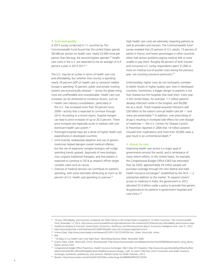#### **2. Cost and quality**

A 2013 survey conducted in 11 countries by The Commonwealth Fund found that the United States spends \$8,508 per person on health care, nearly \$3,000 more per person than Norway, the second-highest spender.<sup>20</sup> Health care costs in the U.S. are expected to rise an average of 4.4 percent a year in 2013-2017.<sup>21</sup>

The U.S. may be an outlier in terms of health care cost and affordability, but whether that country is spending nearly 18 percent GDP on health care or recession-riddled Europe is spending 10 percent, public and private funding systems are economically stressed — across the globe rising costs are unaffordable and unsustainable. Health care cost increases can be attributed to numerous factors, such as:

- Health care industry consolidation, particularly in the U.S., has increased more than 50 percent since 2009—activity that is expected to continue through 2014. According to a recent report, hospital mergers can lead to price increases of up to 20.3 percent. These price increases are especially acute in markets with one dominant health care system.22
- Prolonged hospital stays are a driver of higher health care expenditures in developed countries.
- Until recently, widespread adoption and use of generic medicines helped dampen overall medical inflation, but the rise of expensive complex biologics will nudge spending trends upward. Approvals of new biologics now outpace traditional therapies, and that pattern is expected to continue in 2014 as research efforts target complex cases such as cancer.
- Overuse of medical services can contribute to wasteful spending, with some estimates attributing as much as 30 percent of U.S. health care spending to overuse.<sup>23</sup>

High health care costs are adversely impacting patients as well as providers and insurers. The Commonwealth Fund survey revealed that 23 percent of U.S. adults, 13 percent of adults in France, and lower percentages in other countries either had serious problems paying medical bills or were unable to pay them. Roughly 40 percent of both insured and uninsured U.S. survey respondents spent \$1,000 or more on medical out-of-pocket costs during the previous year, not counting insurance premiums.<sup>24</sup>

Unfortunately, higher costs do not necessarily correlate to better results or higher-quality care, even in developed countries. Sometimes, a bigger danger to patients is not their disease but the hospitals that treat them. Every year in the United States, for example, 1.7 million patients develop infections while in the hospital, and 99,000 die as a result. These hospital-acquired infections add \$30 billion to the nation's annual health-care bill — and many are preventable.25 In addition, over-prescribing of drugs is resulting in increased side effects for over-dosage of medicines — the U.S. Centers for Disease Control & Prevention reported in 2004 that 14 million patients misused their medications and more than 20,000 cases a year result in an unintentional death.26

#### **3. Access to care**

Improving health care access is a major goal of governments around the world, and a centerpiece of many reform efforts. In the United States, for example, the Congressional Budget Office (CBO) has estimated that, by 2020, approximately 24 million people will purchase coverage through the new federal and state health insurance exchanges<sup>27</sup> established by the ACA  $-$  a substantial addition to the market. To expand citizens' access to medicine in India, the government in 2012 allocated \$5.4 billion under a policy to provide free generic drugs/products for patients in government hospitals and rural clinics.28

<sup>&</sup>lt;sup>20</sup> "Access, Affordability, and Insurance complexity Are Often Worse in the United States Compared to 10 Other Countries," The Commonwealth Fund, November 13, 2013, http://www.commonwealthfund.org/Publications/In-the-Literature/2013/Nov/Access-Affordability-and-Insurance.aspx

<sup>&</sup>lt;sup>21</sup> Healthcare Briefing & Forecasts: United States of America: Healthcare and Pharmaceuticals Report, Economist Intelligence Unit, June 21, 2013

<sup>22</sup> http://www.bizjournals.com/triad/news/2013/06/18/health-care-cost-increases-expected-to.html

<sup>&</sup>lt;sup>23</sup> Science Daily: http://www.sciencedaily.com/releases/2012/01/120123163354.htm, Urban, Worst pills, nhmrc <sup>24</sup> Ibid<br><sup>25</sup> "10 Ways to Cut Health-Care Costs Right Now," Bloomberg Business Week, November 2009

<sup>26</sup> Science Daily, Urban, Worst pills, nhmrc, Businessweek: http://www.businessweek.com/debateroom/archives/2008/06/prescription\_drug\_abuse\_ blame\_doctors.html

<sup>27</sup> Congressional Budget Office Projections. Health Insurance Exchanges: CBO's May 2013 Baseline. http://www.cbo.gov/sites/default/files/cbofiles/ attachments/44190\_EffectsAffordableCareActHealthInsuranceCoverage\_2.pdf. As cited in Will they come? Consumers and health insurance

exchanges: Awareness, preferences, and concerns, Deloitte Center for Health Solutions, 2013.<br><sup>28</sup> Reuters. http://www.reuters.com/article/2012/07/04/us-india-drugs-idUSBRE8630PW20120704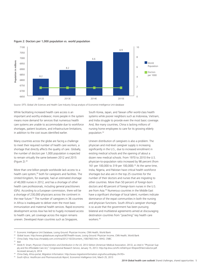

Figure 2: Doctors per 1,000 population vs. world population

Source: DTTL Global Life Sciences and Health Care Industry Group analysis of Economist Intelligence Unit database

While facilitating increased health care access is an important and worthy endeavor, more people in the system means more demand for services that numerous health care systems are unable to accommodate due to workforce shortages, patient locations, and infrastructure limitations, in addition to the cost issues identified earlier.

Many countries across the globe are facing a challenge to meet their required number of health care workers, a shortage that directly affects the quality of care. Globally, the number of doctors per 1,000 population is expected to remain virtually the same between 2012 and 2015 (Figure 2).29

More than one billion people worldwide lack access to a health care system,<sup>30</sup> both for caregivers and facilities. The United Kingdom, for example, had an estimated shortage of 40,000 nurses in 2012, and has a shortage of other health care professionals, including general practitioners (GPs). According to a European commission, there will be a shortage of 230,000 physicians across the continent in the near future.<sup>31</sup> The number of caregivers in 36 countries in Africa is inadequate to deliver even the most basic immunization and maternal health services. Rapid economic development across Asia has led to hugely increased access to health care, yet coverage across the region remains uneven. Developed Asian countries such as Singapore,

South Korea, Japan, and Taiwan offer world-class health systems while poorer neighbors such as Indonesia, Vietnam, and India struggle to provide even the most basic coverage. And, like many countries, China is lacking millions of nursing home employees to care for its growing elderly population.<sup>32</sup>

Uneven distribution of caregivers is also a problem. The physician and mid-level caregiver supply is increasing significantly in the U.S., due to increased enrollment in existing medical schools and the opening of about a dozen new medical schools. From 1970 to 2010 the U.S. physician-to-population ratio increased by 98 percent (from 161 per 100,000 to 319 per 100,000).<sup>33</sup> At the same time, India, Nigeria, and Pakistan have critical health workforce shortages but also are in the top 25 countries for the number of their doctors and nurses that are migrating to other countries. More than 50 percent of foreign-born doctors and 40 percent of foreign-born nurses in the U.S. are from Asia.<sup>34</sup> Numerous countries in the Middle East have a significant shortage of local talent; numbers indicate dominance of the expat communities in both the nursing and physician functions. South Africa's caregiver shortage is so acute that the government has been pursuing bilateral and multilateral agreements aimed at discouraging destination countries from "poaching" key health care workers.35

- <sup>31</sup> China Daily: http://usa.chinadaily.com.cn/china/2012-10/23/content\_15837603.htm, WHO, CNBC
- <sup>32</sup> Ibid

- 34 China Daily, Africa portal, Migration Information: http://www.migrationinformation.org/usfocus/display.cfm?ID=
- <sup>35</sup> South Africa: Healthcare and Pharmaceuticals Report, Economist Intelligence Unit, March 25, 2013

Economic Intelligence Unit Database, Losing Ground: Physician Income, CNN Health, World Bank

<sup>30</sup> Global Issues: http://www.globalissues.org/issue/587/health-issues, Losing Ground: Physician Income, CNN Health, World Bank

<sup>&</sup>lt;sup>33</sup> Derek R. Smart, *Physician Characteristics and Distribution in the US*, 2012 Edition (American Medical Association, 2012), as cited in "Physician Supply and the Affordable Care Act," Congressional Research Service, January 15, 2013. http://op.bna.com/hl.nsf/id/myon-93zpre/\$File/crsdoctor.pdf. Accessed January 6, 2014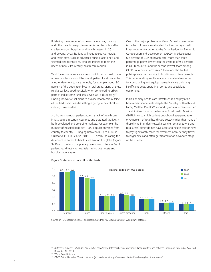Bolstering the number of professional medical, nursing, and other health care professionals is not the only staffing challenge facing hospitals and health systems in 2014 and beyond: Organizations will need to source, recruit, and retain staff, such as advanced nurse practitioners and telemedicine technicians, who are trained to meet the needs of new 21st-century health care models.

Workforce shortages are a major contributor to health care access problems around the world; patient location can be another deterrent to care. In India, for example, about 80 percent of the population lives in rural areas. Many of these rural areas lack good hospitals when compared to urban parts of India; some rural areas even lack a dispensary.<sup>36</sup> Finding innovative solutions to provide health care outside of the traditional hospital setting is going to be critical for industry stakeholders.

A third constraint on patient access is lack of health care infrastructure in certain countries and outdated facilities in both developed and emerging markets. For example, the number of hospital beds per 1,000 population varies from country to country — ranging between 0.3 per 1,000 in Guinea to 11.1 in Belarus (2011)<sup>37</sup> — clearly indicating the difference in access to health care around the globe (Figure 3). Due to the lack of a primary care infrastructure in Brazil, patients go directly to hospitals, raising both costs and hospitalizations rates.

One of the major problems in Mexico's health care system is the lack of resources allocated for the country's health infrastructure. According to the Organisation for Economic Co-operation and Development (OECD), Mexico spends 6.2 percent of GDP on health care, more than three percentage points lower than the average of 9.5 percent in OECD countries and the second-lowest share among OECD countries, after Turkey.38 There are also limited public-private partnerships to fund infrastructure projects. This underfunding results in a lack of material resources for constructing and equipping medical care units; e.g., insufficient beds, operating rooms, and specialized equipment.

India's primary health care infrastructure and physician base remain inadequate despite the Ministry of Health and Family Welfare (MoHFW) expanding access to care into tier 1 and 2 cities through the National Rural Health Mission (NHRM). Also, a high patient out-of-pocket-expenditure (>70 percent of total health care costs) implies that many of those living in underinvested areas (i.e., smaller towns and rural areas) either do not have access to health care or have to pay significantly more for treatment because they travel to larger cities and often get treated at an advanced stage of the disease.



#### Figure 3: Access to care: Hospital beds

Source: DTTL Global Life Sciences and Health Care Industry Group analysis of World Bank database

<sup>36</sup> *Difference between Urban and Rural India,* http://www.differencebetween.net/miscellaneous/difference-between-urban-and-rural-india. Accessed December 12, 2013

World Bank Database

<sup>38</sup> OECD Better life index. *"Mexico. How is life?"* available at http://www.oecdbetterlifeindex.org/countries/mexico/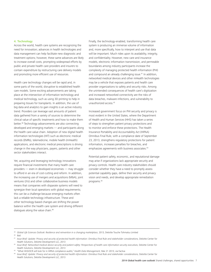#### **4. Technology**

Across the world, health care systems are recognizing the need for innovation; advances in health technologies and data management can help facilitate new diagnostic and treatment options; however, these same advances are likely to increase overall costs, prompting widespread efforts by public and private health care providers and insurers to contain expenditure by restructuring care delivery models and promoting more efficient use of resources.

Health care technology changes will be rapid and, in some parts of the world, disruptive to established health care models. Some exciting advancements are taking place at the intersection of information technology and medical technology, such as using 3D printing to help in preparing tissues for transplants. In addition, the use of big data and analytics to gain insights is an active industry trend. Providers can leverage vast amounts of patient data gathered from a variety of sources to determine the clinical value of specific treatments and how to make them better.39 Technology advancements are also connecting developed and emerging markets — and participants along the health care value chain. Adoption of new digital health information technologies (HIT) such as electronic medical records (EMRs), telemedicine, mobile health (mHealth) applications, and electronic medical prescriptions is driving change in the way physicians, payers, patients and other sector stakeholders interact.

Yet, acquiring and leveraging technology innovations require financial investments that many health care providers — even in developed economies — may struggle to afford in an era of cost-cutting and reform. In addition, the increasing use of mergers and acquisitions (M&A), joint ventures (JVs) and other collaborative business models means that companies with disparate systems will need to synergize their local operations with global requirements; this can be a challenge because emerging markets often lack a reliable technology infrastructure. These and other technology-based changes are shifting the power balance within the health care system and driving different dialogues along the value chain.40

Finally, the technology-enabled, transforming health care system is producing an immense volume of information and, more specifically, how to interpret and use that data will be important. Much rides upon its availability, integrity, and confidentiality. However, new care and insurance models, electronic information transmission, and permeable boundaries among industry participants increase the complexity of managing protected health information (PHI) and compound an already challenging issue.<sup>41</sup> In addition, networked medical devices and other mHealth technologies may be a vehicle that exposes patients and health care provider organizations to safety and security risks. Among the unintended consequences of health care's digitization and increased networked connectivity are the risks of data breaches, malware infections, and vulnerability to unauthorized access.42

Increased government focus on PHI security and privacy is most evident in the United States, where the Department of Health and Human Services (HHS) has taken a series of steps to strengthen patient privacy protections and to monitor and enforce these protections. The Health Insurance Portability and Accountability Act (HIPAA) Omnibus Final Rule, with a compliance date of September 23, 2013, strengthens regulatory protections for patient information, increases penalties for breaches, and emphasizes agreements with business associates.<sup>43</sup>

Potential patient safety, economic, and reputational damage may arise if organizations lack appropriate security and privacy controls. Health care industry stakeholders should consider whether they have a need to promptly assess potential capability gaps, define their security and privacy vision and needs, and develop appropriate remediation programs.44

<sup>40</sup> Ibid

<sup>&</sup>lt;sup>39</sup> Global Life Sciences Outlook: Resilience and reinvention in a changing marketplace, 2013, Deloitte Touche Tohmatsu Limited

<sup>41</sup> *Issue Brief: Update: Privacy and security of protected health information: Omnibus Final Rule and stakeholder considerations,* Deloitte Center for Health Solutions, Deloitte Development LLC, 2013

<sup>&</sup>lt;sup>42</sup> Issue Brief: Networked medical device security and patient safety: Perspectives of health care information security executives, Deloitte Center for Health Solutions, Deloitte Development LLC, 2013

<sup>43</sup> "What HHS/OCR will look for in HIPAA compliance audits," *Health Data Management,* Mar 21 2013, via Factiva

<sup>&</sup>lt;sup>44</sup> Issue Brief: Update: Privacy and security of protected health information: Omnibus Final Rule and stakeholder considerations, Deloitte Center for Health Solutions, Deloitte Development LLC, 2013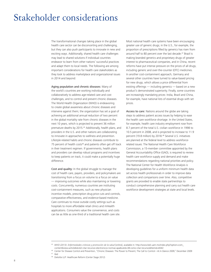# Stakeholder considerations

The transformational changes taking place in the global health care sector can be disconcerting and challenging, but they can also push participants to innovate in new and exciting ways. Additionally, shared health care challenges may lead to shared solutions if individual countries endeavor to learn from other nations' successful practices and adapt them to local needs. The following are among important considerations for health care stakeholders as they look to address marketplace and organizational issues in 2014 and beyond:

Aging population and chronic diseases: Many of the world's countries are working individually and collaboratively to address age-related care and cost challenges, and to control and prevent chronic diseases. The World Health Organization (WHO) is endeavoring to create global awareness about chronic diseases and intervene against them; the organization has set a goal of achieving an additional annual reduction of two percent in the global mortality rate from chronic diseases in the next 10 years, which is projected to prevent 36 million premature deaths by 2015.<sup>45</sup> Additionally, health plans, and providers in the U.S. and other nations are collaborating to innovate in approaches to wellness and prevention. Lifestyle-related habits and chronic diseases contribute to 75 percent of health costs<sup>46</sup> and patients often get off track in their treatment regimen. If governments, health plans and providers can develop robust programs and incentives to keep patients on track, it could make a potentially huge difference.

Cost and quality: In the global struggle to manage the cost of health care, payers, providers, and policymakers are transitioning from a focus on volume to a focus on value — improving outcomes while also maintaining or lowering costs. Concurrently, numerous countries are instituting cost-containment measures, such as new physician incentive models, prescription drug price cuts and controls, comparative effectiveness, and evidence-based medicine. Care continues to move outside costly settings such as hospitals to more affordable retail clinics and mHealth applications. Consumers value the convenience, and costs can be as little as one-third of a traditional health care site.

Most national health care systems have been encouraging greater use of generic drugs; in the U.S., for example, the proportion of prescriptions filled by generics has risen from around half to 80 percent over the last decade.<sup>47</sup> Brazil is making branded generics and proprietary drugs of greater interest to pharmaceutical companies, and in China, recent reforms have put intense pressure on the prices of all drugs, including generic and over-the-counter (OTC) medicines. In another cost-containment approach, Germany and several other countries have turned to value-based pricing for new drugs, which allows a price differential from existing offerings — including generics — based on a new product's demonstrated superiority. Finally, some countries are increasingly mandating prices: India, Brazil and China, for example, have national lists of essential drugs with set prices.

Access to care: Nations around the globe are taking steps to address patient access issues by helping to ease the health care workforce shortage. In the United States, for example, health care industry employment rose from 8.7 percent of the total U.S. civilian workforce in 1998 to 10.5 percent in 2008, and is projected to increase to 11.9 percent (19.8 million) by 2018.48 Several U.S. initiatives are planned at the federal level to address workforcerelated issues: The National Health Care Workforce Commission, a 15-member committee appointed by the General Accountability Office (GAO), is required to review health care workforce supply and demand and make recommendations regarding national priorities and policy. The National Center for Health Workforce Analysis is developing guidelines for a uniform minimum health data set across health professionals in order to improve data collection and comparisons over time. Also, competitive grants are provided to enable state partnerships to conduct comprehensive planning and carry out health care workforce development strategies at state and local levels.

- <sup>47</sup> Ibid
- <sup>48</sup> Deloitte LLP: Healthcare Reform (Center Stage 2012)

<sup>45</sup> *WHO (2013). Enfermedades crónicas y promoción de la salud* [online], available in: http://www.bidi.uam.mx/index.php?option=com\_ content&view=article&id=62:citar-recursos-electronicos-normas-apa&catid=38:como-citar-recursos&Itemid=65#2

<sup>46</sup> Center for Disease Control and Prevention, "Chronic Diseases: The Power to Prevent, The Call to Control—At A Glance 2009," December 2009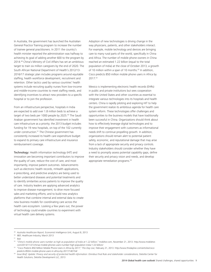In Australia, the government has launched the Australian General Practice Training program to increase the number of trainee general practitioners. In 2011 the country's health minister reported the administration was halfway to achieving its goal of adding another 600 to the program by 2014.49 China's Ministry of Civil Affairs has set an ambitious target to train six million caregivers by the end of 2020. The South African National Department of Health's 2012/13- 2016/17 strategic plan includes programs around equitable staffing, health workforce development, recruitment and retention. Other tactics used by various countries' health systems include recruiting quality nurses from low-income and middle-income countries to meet staffing needs, and identifying incentives to attract new providers to a specific hospital or to join the profession.

From an infrastructure perspective, hospitals in India are expected to add over 1.8 million beds to achieve a target of two beds per 1000 people by 2025.<sup>50</sup> The Saudi Arabian government has identified investment in health care infrastructure as a priority; the 2013 budget includes funding for 19 new hospitals, on top of the 102 currently under construction.<sup>51</sup> The Chinese government has consistently increased its health care expenditure budget to expand its primary care infrastructure and insurance reimbursement coverage.

Technology: Health information technology (HIT) and innovation are becoming important contributors to improve the quality of care, reduce the cost of care, and most importantly, improve patient outcomes. Advancements such as electronic health records, mHealth applications, e-prescribing, and predictive analytics are being used to better understand diseases and potential treatments and to identify similarities across patients to improve the quality of care. Industry leaders are applying advanced analytics to improve disease management; to drive more focused sales and marketing efforts; and to build new analytics platforms that combine internal and external data to create new business models for coordinating care across the health care ecosystem. Looking a few years out, the power of technology could enable countries to experiment with virtual health care delivery systems.

Adoption of new technologies is driving change in the way physicians, patients, and other stakeholders interact. For example, mobile technology and devices are bringing care to many rural parts of the world, specifically in China and Africa. The number of mobile phone owners in China reached an estimated 1.22 billion (equal to the total population of India) at the close of October 2013, a growth of 10 million within a span of 10 months.<sup>52</sup> In addition, Cisco predicts 850 million mobile phone users in Africa by 2017.53

Mexico is implementing electronic health records (EHRs) in public and private institutions but sees cooperation with the United States and other countries as essential to integrate various technologies into its hospitals and health centers. China is rapidly piloting and exploring HIT to help the government realize its ambitious agenda for health care system reform. These technologies offer challenges and opportunities to the business models that have traditionally been successful in China. Organizations should think about how to effectively leverage digital technologies and to improve their engagement with customers as informational needs shift to continue propelling growth. In addition, organizations should remain alert to potential patient safety, economic, and reputational damage that may arise from a lack of appropriate security and privacy controls. Industry stakeholders should consider whether they have a need to promptly assess potential capability gaps, define their security and privacy vision and needs, and develop appropriate remediation programs.<sup>54</sup>

<sup>49</sup>*Australia Healthcare Report,* Economist Intelligence Unit, August 8, 2013

<sup>50</sup> IBEF, Healthcare Industry, March 2013

<sup>51</sup> Ibid

<sup>52</sup> *"China's mobile phone users number as high as population of India at 1.22 billion,"* mobiltor.com, November 21, 2013. http://www.mobiletor. com/2013/11/21/chinas-mobile-phones-users-number-high-population-india-1-22-billion/

<sup>53</sup> "Cisco Predicts 850 Million Mobile Phone Users in Africa by 2017," *This Day Live,* February 21, 2013. http://www.thisdaylive.com/articles/ciscopredicts-850m-mobile-phone-users-in-africa-by-2017/140154/

<sup>&</sup>lt;sup>54</sup> Issue Brief: Update: Privacy and security of protected health information: Omnibus Final Rule and stakeholder considerations, Deloitte Center for Health Solutions, Deloitte Development LLC, 2013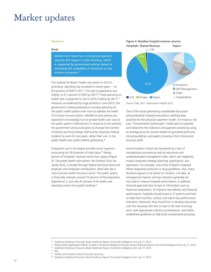## Market updates

#### **Americas**

#### Brazil

Market Fact: Brazil has a strong local generics industry (the largest in Latin America), which is supported by government policies aimed at extending the availability of medicines to lowincome consumers.<sup>55</sup>

The outlook for Brazil's health care sector in 2014 is promising. Spending has increased in recent years — to 8.9 percent of GDP in 2011. This rate is expected to rise slightly, to 9.1 percent of GDP, by 2017.<sup>56</sup> Total spending on health care is projected to rise to \$255.5 billion by 2017.57 However, as evidenced by huge protests in June 2013, the government is being pressured to increase spending for the public health system even more to address the needs of its lower-income citizens. (Middle-income earners are expected to increasingly turn to private health care, due to the public system's deficiencies.) In response to the protests, the government announced plans to increase the number of doctors by hiring foreign staff and by requiring medical students to work for two years, rather than one, in the public health care system before graduating.<sup>58</sup>

Outpatient care is the largest provider sector segment, accounting for 30.9 percent of total value.<sup>59</sup> Ninety percent of hospitals' revenue comes from payers (Figure 4). The public health care system, the Sistema Único da Saúde (SUS), is funded through federal and local taxes and employer and employee contributions. Brazil also has a robust private health-insurance sector. The public system is financially stressed: around 75 percent of the population depends on it, but only 47 percent of all health care spending comes from public funding.<sup>60</sup>



Source: CNES, 2011. Observatório ANAHP, 2013

One of the issues generating considerable discussion among Brazilian hospital executives is defining best practices for the physician payment model. For instance, the new "Procedimento Gerenciado" model aims to expedite and streamline the collection and payment process by using an average price for services based on grounded protocols, clinical guidelines, and expert consensus from clinical and business staffs.

Some hospitals in Brazil are hampered by a lack of standardized processes as well as executives with underdeveloped management skills, which can negatively impact corporate strategic planning, governance, and operations. For example, only a few of Brazil's hospitals follow diagnostic protocols or drug guidelines. Also, many decisions appear to be based on intuition, not data, as management reports and key indicators generally are not used to measure hospital performance. In addition, financial gaps exist due to lack of information such as fixed-cost evaluations. To improve care delivery and financial performance, hospitals should invest in IT systems and tools to help them monitor, control, and report key performance indicators. Moreover, they should hire or develop executives with the necessary skill sets to lead in the near-and longterm, seek appropriate industry accreditations, and follow established guidelines to help build standardized processes.

- <sup>58</sup> Ibid
- <sup>59</sup> *Health care Providers in Brazil: Executive Summary*
- <sup>60</sup> Healthcare Briefing & Forecasts: Brazil Healthcare Report, Economist Intelligence Unit, July 17, 2013

<sup>55</sup> *Healthcare Briefing & Forecasts: Brazil Healthcare Report,* Economist Intelligence Unit, July 17, 2013

<sup>56</sup> World Health Organization (WHO), as cited in *Healthcare Briefing & Forecasts: Brazil Healthcare Report,* Economist Intelligence Unit, July 17, 2013

<sup>57</sup> *Healthcare Briefing & Forecasts: Brazil Healthcare Report,* Economist Intelligence Unit, July 17, 2013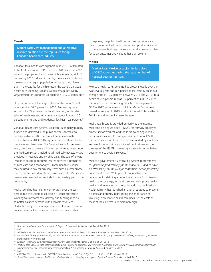#### Canada

Market Fact: Cost management and alternative revenue creation are the top issues facing Canada's health care industry.

Canada's total health care expenditure in 2013 is estimated to be 11.4 percent of GDP — up from 8.8 percent in 2000 — and the projected trend is also slightly upwards, at 11.6 percent by 2017,<sup>61</sup> driven in part by the advance of chronic diseases and an aging population. Although much lower than in the U.S. (by far the highest in the world), Canada's health care spending is high as a percentage of GDP by Organization for Economic Co-operation (OECD) standards.<sup>62</sup>

Hospitals represent the largest share of the nation's health care spend, at 32.5 percent in 2010. Ambulatory care accounts for 27.4 percent of total spending, while retail sales of medicines and other medical goods is almost 20 percent and nursing and residential facilities 10.8 percent.<sup>63</sup>

Canada's health care system, Medicare, is primarily publicly funded and delivered. (The public sector is forecast to be responsible for 70.1 percent of Canadian health expenditures in 2013.<sup>64</sup>) The system is administered by the provinces and territories. The Canada Health Act requires every province to cover a minimum set of treatments under the Medicare system, including all medically necessary care provided in hospitals and by physicians. The sale of private insurance coverage for basic insured services is prohibited, as Medicare has a monopoly.<sup>65</sup> Private health insurance may be used to pay for auxiliary items such as semi-private rooms, dental care, dental care, vision care, etc. Medication coverage is provided in hospitals, but is privately paid in the community.

Public spending has risen uncomfortably over the past decade but the system is still viable — each province is working to transform care delivery and funding models to better balance demand with available resources. Understandably, cost management and alternative revenue creation are the top issues facing industry stakeholders.

In response, the public health system and providers are coming together to drive innovation and productivity, and to identify new business models and funding solutions that focus on outcomes and value rather than volume.

#### Mexico

Market Fact: Mexico occupies the last place of OECD countries having the least number of hospital beds per person.

Mexico's health care spending has grown steadily over the past several years and is expected to increase by an annual average rate of 10.2 percent between 2013 and 2017. Total health care expenditure was 6.7 percent of GDP in 2012; that rate is expected to rise gradually to seven percent of GDP in 2017. A fiscal reform bill that Mexico's congress passed November 1, 2013, and which is set to take effect in 2014,<sup>66</sup> could further increase the rate.

Public health care is provided primarily by the Instituto Mexicano del Seguro Social (IMSS), for formally employed private-sector workers, and the Instituto de Seguridad y Servicios Sociales de los Trabajadores del Estado (ISSSTE), for public-sector workers. The two are funded by employer and employee contributions, investment returns and, in the case of the ISSSTE, increasing transfers from the federal government to avoid insolvency.67

Mexico's government is advocating system improvements to "*generate predictability for the market […] and to have a better set of alternatives for consumers, hence protecting public health care.*"68 As part of this initiative, the government is defining an effective structure for universal health care coverage, while also striving to improve service quality and reduce system costs. In addition, the Mexican Health Ministry has launched a national strategy to prevent diabetes and obesity, highlighting the importance of investing in preventive health care because the costs of these chronic illnesses are extremely high.<sup>69</sup>

<sup>67</sup> Ibid

<sup>61</sup> *Canada: Healthcare and Pharmaceuticals Report,* Economist Intelligence Unit, March 26, 2013

<sup>62</sup> Ibid

<sup>63</sup> OECD data, as cited in Canada: *Healthcare and Pharmaceuticals Report,* Economist Intelligence Unit, March 26, 2013

<sup>64</sup> *National Health Expenditure Trends, 1975 to 2013,* Canadian Institute for Health Information, https://secure.cihi.ca/free\_products/4.0\_TotalHealthExpenditureProvTerrEN.pdf

<sup>65</sup> *Canada: Healthcare and Pharmaceuticals Report,* Economist Intelligence Unit, March 26, 2013

<sup>66</sup> "MetLife sees Mexico's fiscal reform impacting 2014 operating earnings," *BN Americas,* November 4, 2013, http://www.bnamericas.com/news/ insurance/metlife-sees-mexicos-fiscal-reform-impacting-2014-operating-earnings. Accessed January 15, 2014

<sup>68</sup> ARRIOLA, Mikel, Interview with COFEPRIS: Mikel Arriola, *Health Care & Life Sciences Review,* 18-19, México, 2013

<sup>&</sup>lt;sup>69</sup> Global life sciences outlook: Resilience and reinvention in a changing marketplace, Deloitte Touche Tohmatsu Limited, 2013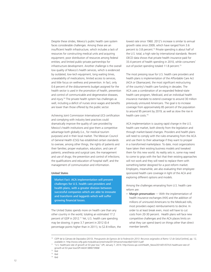Despite these strides, Mexico's public health care system faces considerable challenges. Among these are an insufficient health infrastructure, which includes a lack of resources for constructing medical units and acquiring equipment; poor distribution of resources among federal entities; and limited public-private partnerships for infrastructure development. Another challenge is the overall low quality of Mexico's health services, which is evidenced by outdated, low-tech equipment, long waiting times, unavailability of medications, limited access to services, and little focus on wellness and prevention. In fact, only 0.6 percent of the disbursements budget assigned for the health sector is used in the promotion of health, prevention and control of communicable and degenerative diseases, and injury.<sup>70</sup> The private health system has challenges as well, including a deficit of nurses since wages and benefits are lower than those offered by the public sector.

Achieving Joint Commission International (JCI) certification and complying with industry best practices could dramatically improve the quality of care provided by Mexico's health institutions and give them a competitive advantage both globally (i.e., for medical tourism purposes) and in their local market. The Mexican Council of General Health (CSG) has established certain standards to oversee, among other things, the rights of patients and their families; proper evaluation, education, and care of patients; anesthesia and surgical care; the management and use of drugs; the prevention and control of infections; the qualifications and education of hospital staff; and the management of communication and information.

#### United States

Market Fact: ACA implementation will present challenges for U.S. health care providers and health plans, with a greater division between successful companies which are able to innovate and transform and laggards which will suffer growing financial losses.

The United States spends more on health care than any other country in the world, totaling an estimated 17.2 percent of GDP in 2012.<sup>71</sup> Yet, U.S. health care spending may be slowing; it grew 3.7 percent in 2012 (0.4 percentage points higher than in 2011), to \$2.8 trillion, the lowest rate since 1960. 2012's increase is similar to annual growth rates since 2009, which have ranged from 3.6 percent to 3.8 percent.<sup>72</sup> Private spending is about half of the U.S. total, a high rate by international standards. Recent OECD data shows that private health insurance paid for 33.4 percent of health spending in 2010, while consumers' out-of-pocket spending totaled 11.8 percent.<sup>73</sup>

The most pressing issue for U.S. health care providers and health plans is implementation of the Affordable Care Act (ACA or Obamacare), the most significant restructuring of the country's health care funding in decades. The ACA uses a combination of an expanded federal-state health care program, Medicaid, and an individual health insurance mandate to extend coverage to around 30 million previously uninsured Americans. The goal is to increase coverage from approximately 85 percent of the population to around 95 percent by 2019, as well as slow the rise in health care costs.74

ACA implementation is causing rapid change in the U.S. health care market, both directly from the legislation and through market-based changes. Providers and health plans will need to comply with the rules emanating from the ACA and use them to their advantage if they want to prosper in a transformed marketplace. To date, most organizations have taken their existing business models and tweaked them for this new world. As reality sets in, some may need to come to grips with the fact that their existing approaches will not work and they will need to replace them with something better designed for a post-reform market. Employers, meanwhile, are also evaluating their employeesponsored health care coverage in light of the ACA and exploring different options and models.

Among the challenges emanating from U.S. health care reform are:

• Margin preservation — With the implementation of health insurance exchanges (HIX) and the addition of millions of uninsured Americans to the Medicaid rolls, most providers expect reimbursements to decline. In order to at least break even, most will have to cut costs from 20-30 percent. Health plans will face new competitive challenges and the ACA places limits on what they can spend (earn) on things other than direct member benefit.

<sup>70</sup> CEFP de la Cámara de Diputados (2013). *Presupuesto de Egresos de la Federación 2013: Recursos asignados al Ramo 12 de Salud* [online], pp. 12, available in: http://www.cefp.gob.mx/publicaciones/nota/2013/marzo/notacefp0102013.pdf<br>\*\*\* "U.S. healthcare rate of growth at 53-year low," UPI, January 7, 2014. http://www.upi.com/Health\_News/2014/01/07/US-healthcare-rate

growth-at-53-year-low/UPI-44241389073908/

<sup>72</sup> Ibid

<sup>73</sup> Ibid

<sup>74</sup> Ibid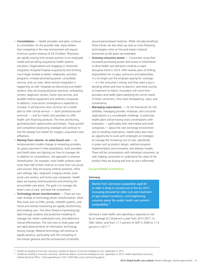- Consolidation Health providers and plans continue to consolidate. On the provider side, many believe that competing in the new environment will require minimum system revenue of \$4-10 billion. Physicians are rapidly moving from private practice to an employed model and are being acquired by health systems and plans. Organizations are engaging in horizontal integration (hospital-hospital acquisitions) and forming much larger entities to better collaborate, prioritize programs, increase purchasing power, consolidate services, and cut costs. More vertical integration is happening, as well. Hospitals are becoming true health systems; they are buying physician practices, ambulatory centers, diagnostic centers, home care services, and durable medical equipment and wellness companies. In addition, cross-sector convergence is expected to increase: It will become more common for a health plan to offer clinical services — both professional and technical — and for health care providers to offer health care financing products. The lines are blurring, generating both opportunities and threats. These growth and competitive positioning strategies will continue to fuel the already hot market for mergers, acquisitions and affiliations.
- Moving from volume- to value-based care As reimbursement models change to rewarding providers for good outcomes in their populations, both providers and health plans are figuring out how to manage risk. In addition to consolidation, one approach is revenue diversification. For example, most health systems want more than half of their revenue to come from non-acute care sources; they are buying medical practices, office care settings, labs, diagnostic imaging centers, postacute care centers, and home care companies. Health plans are buying medical practices and entering the accountable care arena. The goal is to manage risk, lower costs of care, and beat the competition.
- **Technology-driven transformation**  $-$  There are two main threads of technology-driven transformation. Work flow tools such as EHRs, portals, mHealth systems, and home and remote monitoring are rapidly transforming and enabling care. The other thread is harnessing big data through analytics and predictive modeling to manage risk, better understand costs, and determine clinical effectiveness. The next two to three years will see rapid advancements of information technology driving change. Medical technology will continue to rapidly advance, particularly with the unraveling of the human genome and the achievement of benefits

around personalized medicine. While clinically beneficial, these trends can also drive up costs as more lifesaving technologies come on line and impact national economies as life spans are extended.

- Growing consumer power  $-$  Consumers using their increased purchasing power and access to information to drive health care decisions could be a major disruptive trend in 2014. After several years of shifting responsibility for co-pays, premiums and deductibles, it is no longer just the employer paying for coverage — it is the consumer's money, and they want a say in deciding where and how to spend it, and what courses of treatment to follow. Innovation will come from providers and health plans satisfying the unmet needs of these consumers, who want transparency, value, and convenience.
- **Managing expectations**  $-$  As the framework for HIX solidifies, managing provider, employer, and consumer expectations is a considerable challenge. In particular, health plans will be having many conversations with employers — particularly with mid-market and small companies — about the new exchange environment and its resulting implications. Health plans also have an opportunity to work with employers on strategies to manage the increasing cost of care, specifically in areas such as product design, wellness program implementation and innovative care delivery models. There will be conversations with individual consumers, as well, helping consumers to understand the value of the product they are buying and how to use it effectively.

#### **Europe/Middle East/Africa**

#### Germany

Market Fact: Germany's population aged 65 or older is likely to exceed one in five by 2017, increasing demand for elder care and treatment of age-related conditions, and heightening concerns about the public health care system's sustainability.<sup>75</sup>

Germany's total health care spending is expected to rise by an average of 2.8 percent a year from 2013-2017, to \$461 billion, and from 11.7 percent of GDP in 2009 to 11.9 percent in 2017.<sup>76</sup>

<sup>&</sup>lt;sup>75</sup> Healthcare Briefing & Forecasts: Germany: Healthcare Report, Economist Intelligence Unit, September 4, 2013

<sup>76</sup> *Healthcare Briefing & Forecasts: Germany: Healthcare Report,* Economist Intelligence Unit, September 4, 2013. Health expenditure accounts,

Federal Statistical Office - Total expenditures in 2011 EUR210bn across all financing agents.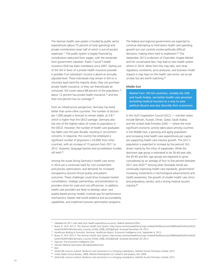The German health care system is funded by public sector expenditures (about 75 percent of total spending) and private contributions (over half of which is out-of-pocket expenses).<sup>77</sup> The public system is largely financed by contributions deducted from wages, with the remainder from government subsidies. Public ("social") health insurance (SHI) has been mandatory since 2007. Opting out of the SHI in favor of a private health insurance provider is possible if an individual's income is above an annually adjusted level. These individuals may remain in SHI on a voluntary basis (and the majority does), they can purchase private health insurance, or they can theoretically be uninsured. SHI covers about 88 percent of the population,<sup>78</sup> about 12 percent has private health insurance,<sup>79</sup> and less than one percent has no coverage.<sup>80</sup>

From an infrastructure perspective, Germany has fared better than some other countries: The number of doctors per 1,000 people is forecast to remain stable, at 3.8,<sup>81</sup> which is higher than the OECD average. Germany also has one of the highest ratios of nurses to population in the OECD. However, the number of health care graduates has fallen over the past decade, resulting in recruitment concerns. In response, the country has employed a significant number of physicians (~33,000) from other countries, with an increase of 15 percent from 2011 to 2012. However, language barriers and accreditation hurdles still exist.<sup>82</sup>

Among the issues facing Germany's health care sector in 2014 are a continued need for cost containment and process optimization; and demands for increased transparency around clinical quality and patient outcomes. These challenges could drive increased market consolidation, strategic partnerships, and privatization as providers strive for scale and cost efficiencies. In addition, health care providers are likely to develop value- and quality-based pricing models, institute pay-for-performance mechanisms, bolster real-world evidence and accountability capabilities, and implement process optimization programs.

The federal and regional governments are expected to continue attempting to hold down health care spending growth but cost controls involve politically difficult decisions, making them hard to implement.<sup>83</sup> The September 2013 re-election of Chancellor Angela Merkel and her conservative bloc may lead to new health system reform in 2014. What form this may take, and what regulatory constraints, price pressures, and business model impacts it may have on the health care sector, are as yet unclear but are worth watching.<sup>84</sup>

#### Middle East

Market Fact: Oil-rich countries, notably the UAE and Saudi Arabia, see better health care provision (including medical tourism) as a way to ease political dissent and also diversify their economies.

In the Gulf Cooperation Council (GCC) — member states include Bahrain, Kuwait, Oman, Qatar, Saudi Arabia, and the United Arab Emirates (UAE) — where the most significant economic activity takes place among countries in the Middle East, a growing and aging population and increasing total health care expenditures per capita are supporting health care industry growth. The GCC's population is expected to increase by five percent YoY, driven mainly by the influx of expatriates. While the dominant age group is estimated to be 30-44 year olds, the 45-65 and 65+ age groups are expected to grow cumulatively by an average of four to five percent between 2011 and 2020.<sup>85</sup> Among other favorable trends are continually improving health care standards; governments' increasing investments in technological advancements and health awareness; the growth of smaller health care clinics and ambulatory centers; and a strong medical tourism industry.<sup>86</sup>

<sup>77</sup> Validated for 2011 with data from Health expenditure accounts, Federal Statistical Office

<sup>78</sup> Busse, R., M.D. M.P. H. *The German Health Care System,* http://www.commonwealthfund.org/~/media/Files/Resources/2008/Health%20Care%20 System%20Profiles/Germany\_Country\_Profile\_2008\_2%20pdf.pdf. Accessed December 29, 2013

<sup>79</sup> *Healthcare Briefing & Forecasts: Germany: Healthcare Report,* Economist Intelligence Unit, September 4, 2013

<sup>80</sup> Busse, R., M.D. M.P. H. *The German Health Care System,* http://www.commonwealthfund.org/~/media/Files/Resources/2008/Health%20Care%20 System%20Profiles/Germany\_Country\_Profile\_2008\_2%20pdf.pdf. Accessed December 29, 2013

<sup>81</sup> Espicom; The Economist Intelligence Unit

<sup>82</sup> German Medical Association (Bundesärztekammer)

<sup>83</sup> Ibid

<sup>84</sup> Global life sciences outlook: Resilience and reinvention in a changing marketplace, Deloitte Touche Tohmatsu Limited, 2013

<sup>85</sup> Unites States Census Bureau, 2009; Deloitte Development LLC research and analysis, Nov 2009

<sup>86</sup> Global life sciences outlook: Resilience and reinvention in a changing marketplace, Deloitte Touche Tohmatsu Limited, 2013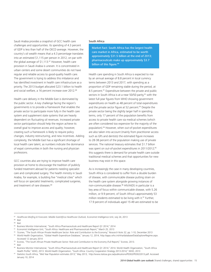Saudi Arabia provides a snapshot of GCC health care challenges and opportunities. Its spending of 4.3 percent of GDP is less than half of the OECD average. However, the country's oil wealth means that a 4.3 percentage translates into an estimated \$1,115 per person in 2012, on par with the global average of \$1,113.87 However, health care provision in Saudi Arabia is uneven. It is concentrated in urban centers and some desert communities do not have regular and reliable access to good-quality health care. The government is trying to address this imbalance and has identified investment in health care infrastructure as a priority. The 2013 budget allocated \$23.1 billion to health and social welfare, a 16 percent increase over 2012.<sup>88</sup>

Health care delivery in the Middle East is dominated by the public sector. A key challenge facing the region's governments is to provide a framework that enables the private sector to participate more fully in the health care system and supplement state systems that are heavily dependent on fluctuating oil revenues. Increased private sector participation should help the region achieve its overall goal to improve access and quality; however, creating such a framework is likely to require policy changes, industry restructuring, and new incentives. Adding complexity, the Middle East has a significant shortage of local health care talent, as numbers indicate the dominance of expat communities in both the nursing and physician professions.

GCC countries also are trying to improve health care provision at home to discourage the tradition of publicly funded treatment abroad for patients needing specialist care and complicated surgery. The health ministry in Saudi Arabia, for example, is building five "medical cities" which will focus on specialist treatments, complicated surgeries, and treatment of rare diseases.<sup>89</sup>

#### South Africa

Market Fact: South Africa has the largest health care market in Africa, estimated to be worth approximately \$31.5 billion at the end of 2013; pharmaceuticals make up approximately \$3.7 billion of this figure.<sup>90</sup>

Health care spending in South Africa is expected to rise by an annual average of 8.8 percent in local currency terms between 2013 and 2017, with spending as a proportion of GDP remaining stable during the period, at 8.5 percent.<sup>91</sup> Expenditure between the private and public sectors in South Africa is at a near 50/50 parity,<sup>92</sup> with the latest full-year figures from WHO showing government expenditures on health as 48 percent of total expenditures and the private sector figure at 52 percent.<sup>93</sup> Despite the private sector being the slightly larger half in spending terms, only 17 percent of the population benefits from access to private health care via medical schemes (which are often considered too expensive for the majority of the population).94 However, when out-of-pocket expenditures are also taken into account (mainly from practitioner access such as GPs and dentists) the estimated figure increases to 28-38 percent of the population making use of private services. The national treasury estimates that \$1.7 billion was spent on out-of-pocket expenditures in 2011/2012;<sup>95</sup> this suggests there is demand for private health care outside traditional medical schemes and that opportunities for new business may exist in this space.

As is increasingly the case in many developing countries, South Africa is considered to suffer from a double burden of disease, with communicable disease putting strain on the health care system alongside growing instances of non-communicable disease.<sup>96</sup> HIV/AIDS in particular is a key area of focus within communicable disease, with 5.26 million, or 9.9 percent, of South Africa's approximately 53 million residents estimated to be living with it.<sup>97</sup> Further, 17.9 percent of individuals aged 15-49 are estimated to be

87 Healthcare Briefing & Forecasts: Middle East/Africa Healthcare Outlook, Economist Intelligence Unit, July 24, 2013

- <sup>91</sup> Economist Intelligence Unit, "South Africa: Healthcare and Pharmaceuticals Report," March 25, 2013
- <sup>92</sup> `Econex, "The South African Private Healthcare Sector: Role and Contribution to the Economy," *Research Note 32,* pp. 1-10, December 2013
- 93 World Health Organization, "Global Health Expenditure Database," January 12, 2014, http://apps.who.int/nha/database/DataExplorerRegime.aspx. Accessed 12 January 2014
- <sup>94</sup> Econex, "The South African Private Healthcare Sector: Role and Contribution to the Economy (Full Report)," Econex, 2013.
- <sup>95</sup> Ibid

97 Statistics South Africa, "Mid Year Population estimates 2013," May 2013, http://www.statssa.gov.za/publications/P0302/P03022013.pdf. Accessed January 10, 2014

<sup>88</sup> Ibid <sup>89</sup> Ibid

<sup>90</sup> Business Monitor International, "South Africa Pharmaceuticals and Healthcare Report Q1 2014," 2014

<sup>96</sup> Business Monitor International, "South Africa Pharmaceuticals and Healthcare Report Q1 2014," 2014. World Health Organization, "South Africa Health Profile," WHO, 2013. World Health Organization, "South Africa: Country Cooperation Strategy 2013-2014," WHO, 2013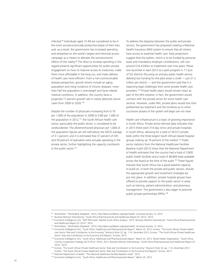infected.98 Individuals aged 15-49 are considered to be in the most socioeconomically productive phase of their lives and, as a result, the government has increased spending and embarked on the world's largest anti-retroviral access campaign as a means to alleviate the socioeconomic effects of this reality.<sup>99</sup> The drive to increase spending in this regard presents significant opportunities for public-private engagement on how to improve access to medicines, make them more affordable in the long run, and make delivery of health care more efficient. From a non-communicable disease perspective, growth drivers include an aging population and rising incidence of chronic diseases: more than half the population is overweight and faces related medical conditions. In addition, the country faces a projected 17 percent growth rate in newly detected cancer cases from 2009 to 2020.100

Despite the number of physicians increasing from 0.70 per 1,000 of the population in 2008 to 0.80 per 1,000 of the population in 2012,<sup>101</sup> the South African health care sector, particularly the public sector, is considered to be overburdened. The aforementioned physician per 1,000 of the population figures are still well below the OECD average of 3.1 percent; and it is estimated that 37 percent of GPs and 59 percent of specialists were actually operating in the private sector, further highlighting the capacity constraints in the public sector.<sup>102</sup>

To address the disparity between the public and private sectors, the government has proposed creating a National Health Insurance (NHI) system to ensure that all citizens have access to essential health care. Early projections suggest that the system, which is to be funded by personal taxes and mandatory employer contributions, will cost around \$16.4 billion to implement over nine years. Phase one launched in April 2012 as a pilot program in 11 (out of 52) districts (focusing on primary public health service delivery) but funding for the pilot areas is small — just \$1.2 million per district — and the government said that it is expecting legal challenges from some private health care providers.103 Private health plans would remain intact as part of the NHI initiative; in fact, the government would contract with the private sector for some health care services. However, under NHI, private plans would lose their preferential tax treatment and the timelines as to when successive phases of the system will begin are not clear.

Health care infrastructure is a topic of growing importance in South Africa. Private sector-derived data indicates that in 2013 there were 314 day clinics and private hospitals in South Africa, allowing for a total of 34,572 private beds within the three largest South African-based hospital groups making up 70 percent of the market.<sup>104</sup> Public sector statistics from the National Healthcare Facilities Baseline Audit (2012) show that the National Department of Health estimates that the country had a total of 3,800 public health facilities and a total of 48,809 beds available across the board at the time of the audit.<sup>105</sup> These figures indicate that South Africa has a good baseline capacity to build on, in both the private and public sectors, should the appropriate growth and investment strategies be put into place. In addition, private hospital groups have offered to provide support to the public sector in areas such as training, patient administration, and pharmacy management. The government is also eager to promote public-private partnerships (PPPs).106

<sup>104</sup> Econex, "The South African Private Healthcare Sector: Role and Contribution to the Economy," *Research Note 32,* pp. 1-10, December 2013. Econex, "The South African Private Healthcare Sector: Role and Contribution to the Economy (Full Report)," Econex, 2013

<sup>98</sup> World Bank, "World Bank Databank," 2014, http://data.worldbank.org/topic/health. Accessed January 12, 2014

<sup>99</sup> Business Monitor International, "South Africa Pharmaceuticals and Healthcare Report Q1 2014," 2014

<sup>100</sup> Economist Intelligence Unit, "IMS TPM Audit, Deloitte South Africa Analysis," 2012. Business Monitor International, "South Africa Pharmaceuticals and Healthcare Report Q1 2014," 2014

<sup>101</sup> World Bank, "World Bank Databank," 2014, http://data.worldbank.org/topic/health. Accessed January 12, 2014

<sup>102</sup> Economist Intelligence Unit, "South Africa: Healthcare and Pharmaceuticals Report," March 25, 2013. Econex, "The South African Private Healthcare Sector: Role and Contribution to the Economy," *Research Note 32,* pp. 1-10, December 2013. Econex, "The South African Private Healthcare Sector: Role and Contribution to the Economy (Full Report)," Econex, 2013

<sup>103</sup> Economist Intelligence Unit, "South Africa: Healthcare and Pharmaceuticals Report," March 25, 2013. World Health Organization, "South Africa: Country Cooperation Strategy 2013-2014," WHO, 2013. Business Monitor International, "South Africa Pharmaceuticals and Healthcare Report Q1 2014," 2014

<sup>105</sup> National Department of Health, "The National Healthcare Facilities Baseline Audit," 2012

<sup>106</sup> Economist Intelligence Unit, "South Africa: Healthcare and Pharmaceuticals Report," March 25, 2013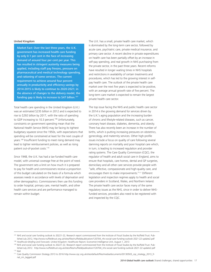#### United Kingdom

Market Fact: Over the last three years, the U.K. government has increased health care funding by only 0.1 per cent in the face of increasing demand of around four per cent per year. This has resulted in stringent austerity measures being applied, including staff pay freezes, pressure on pharmaceutical and medical technology spending, and rationing of some services. The current requirement to achieve around four percent annually in productivity and efficiency savings by 2014-2015 is likely to continue to 2020-2021; in the absence of changes to the delivery model, the funding gap is likely to increase to \$47 billion.<sup>107</sup>

Total health care spending in the United Kingdom (U.K.) was an estimated \$235 billion in 2012 and is expected to rise to \$292 billion by 2017, with the ratio of spending to GDP increasing to 10.3 percent.<sup>108</sup> Unfortunately, constraints on government spending mean that the National Health Service (NHS) may be facing its tightest budgetary squeeze since the 1950s, with expectations that spending will be constrained at least for the next couple of years.<sup>109</sup> Insufficient funding to meet rising demand may lead to tighter reimbursement policies, as well as rising patient out-of-pocket costs.<sup>110</sup>

Since 1948, the U.K. has had a tax-funded health care model, with universal coverage free at the point of need. The government sets a limit on how much it is prepared to pay for health and commissioners receive a proportion of this budget calculated on the basis of a formula which assesses needs in accordance with levels of deprivation and other demographics. Commissioners then use this funding to order hospital, primary care, mental health, and other health care services and are performance managed to remain within budget.

The U.K. has a small, private health care market, which is dominated by the long-term care sector, followed by acute care, psychiatric care, private medical insurance, and primary care sector. A recent decline in private expenditures on health care has been partially offset by an increase in self-pay spending, and real growth in NHS purchasing from the private sector, in the past three years. Recent reforms have resulted in longer waiting times in NHS hospitals and restrictions in availability of certain treatments and procedures, which has led to the growing interest in selfpay health care. The outlook of the private health care market over the next five years is expected to be positive, with an average annual growth rate of five percent. The long-term care market is expected to remain the largest private health care sector.

The top issue facing the NHS and public health care sector in 2014 is the growing demand for services driven by the U.K.'s aging population and the increasing burden of chronic and lifestyle-related diseases, such as cancer, coronary heart disease, diabetes, dementia, and obesity. There has also recently been an increase in the number of births, which is putting increasing pressures on obstetrics, gynecology, and maternity services. Other high-profile issues include a focus on quality of care following several damning reports on mortality and poor hospital care which, in turn, is leading to increased regulation and provider rating systems. The Care Quality Commission (CQC), the regulator of health and adult social care in England, aims to ensure that hospitals, care homes, dental and GP surgeries, domiciliary and all other care services provide people with "safe, effective, compassionate and high-quality care, and encourages them to make improvements."111 Different legislation and inspection regimes apply to health and social care providers in Scotland, Wales, and Northern Ireland. The private health care sector faces many of the same regulatory issues as the NHS, since in order to deliver NHSfunded services, providers also need to be registered with and inspected by the CQC.

<sup>107</sup> NHS and social care funding outlook to 20221-22, Research report commissioned from the Institute of Fiscal Studies by the Nuffield Trust. Published July 2012, http://www.nuffieldtrust.org.uk/sites/files/nuffield/publication/120704\_nhs-social-care-funding-outlook-2021-22-update2.pdf <sup>108</sup> Healthcare Briefing and Forecasts: United Kingdom: Healthcare Report, Economist Intelligence Unit, August 1, 2013

<sup>109</sup> NHS and social care funding outlook to 20221-22, Research report commissioned from the Institute of Fiscal Studies by the Nuffield Trust. Published July 2012. http://www.nuffieldtrust.org.uk/sites/files/nuffield/publication/120704\_nhs-social-care-funding-outlook-2021-22-update2.pdf <sup>110</sup> Ibid

<sup>111</sup> Care Quality Commission Strategy 2013 to 2016 http://www.cqc.org.uk/sites/default/files/media/documents/20130503\_cqc\_strategy\_2013\_final\_cm\_tagged.pdf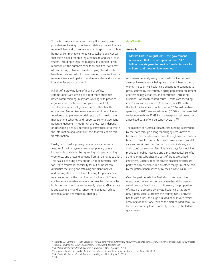To control costs and improve quality, U.K. health care providers are looking to implement delivery models that are more efficient and cost-effective than hospital care, such as home- or community-centered care. Stakeholders concur that there is need for an integrated health and social care system, including integrated budgets. In addition, given reductions in the numbers of suitably qualified staff across all care settings, clinicians are developing shared electronic health records and adopting assistive technologies to work more efficiently with patients and reduce demand for laborintensive, face-to-face care.<sup>112</sup>

In light of a growing level of financial deficits, commissioners are striving to adopt more outcomesbased commissioning. Many are working with provider organizations to introduce complex and politically sensitive service reconfigurations across their health economies. Among key levers are moving from volumeto value-based payment models; population health care management schemes; and supported self-management/ patient engagement models. All of these levers depend on developing a robust technology infrastructure to create the information and workflow tools that will enable this transformation.

Finally, good quality primary care remains an essential feature of the U.K. system. However, primary care is increasingly challenged by tightening budgets, an aging workforce, and growing demand from an aging population. This has led to rising demand for GP appointments; calls for GPs to resume responsibility for out-of-hours care; difficulties recruiting and retaining sufficient medical and nursing staff; and reduced funding for primary care as a proportion of the total funding for the NHS. These challenges are variable in nature but may be overcome by both short-term actions — the newly released GP contract is one example — and by longer-term actions, such as reconfiguration and structural changes.

#### **Asia/Pacific**

#### Australia

Market Fact: In August 2012, the government announced that it would spend around \$4.1 billion over six years to provide free dental care for children and those on low incomes.<sup>113</sup>

Australians generally enjoy good health outcomes, with average life expectancy being one of the highest in the world. The country's health care expenditure continues to grow, spurred by the country's aging population, treatment and technology advances, and consumers' increasing awareness of health-related issues. Health care spending in 2012 was an estimated 11.3 percent of GDP, with twothirds of the total from public sources.<sup>114</sup> Annual per-head spending in 2012 was an estimated \$7,602 and is projected to rise nominally to \$7,634 – or average annual growth on a per-head basis of 0.1 percent – by  $2017$ .<sup>115</sup>

The majority of Australia's health care funding is provided by the state through a long-standing system known as Medicare. Contributions are made through taxes and a levy based on taxable income. Medicare provides free hospital care and subsidizes spending on non-hospital care, such as doctors' consultation fees. Medicare pays for medicines provided in public hospitals and a Pharmaceutical Benefits Scheme (PBS) subsidizes the cost of drugs prescribed elsewhere. Doctors' fees for private-hospital patients are partly paid by Medicare, but all other charges must be paid by the patients themselves or by their private insurers.<sup>116</sup>

Over the past decade the Australian government has encouraged consumers to buy private health insurance to help reduce Medicare costs; however, the proportion of Australians covered by private health care has grown only slightly since. Currently, the country has 36 private health care funds; the largest is Medibank Private, which accounts for about one-third of the market. Medibank is a for-profit company that is currently owned by the federal government.

<sup>112</sup> Deloitte LLP Centre for Health Solutions. *Primary care Working differently* http://www.deloitte.com/assets/Dcom-UnitedKingdom/Local%20Assets/ Documents/Industries/Life%20Sciences/uk-ls-telehealth-telecare.pdf

<sup>113</sup> *Australia: Healthcare Report,* Economist Intelligence Unit, August 8, 2013

<sup>114</sup> Episcom estimates, as cited in *Australia: Healthcare Report,* Economist Intelligence Unit, August 8, 2013

<sup>115</sup> *Australia: Healthcare Report,* Economist Intelligence Unit, August 8, 2013  $116$  Ibid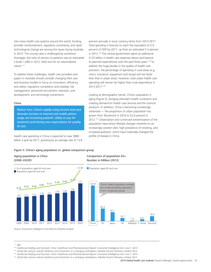Like many health care systems around the world, funding, provider reimbursement, regulatory uncertainty, and rapid technological change are among the issues facing Australia in 2014. The country also is challenged by workforce shortages; the ratio of doctors to patients was an estimated 2.8 per 1,000 in 2012, fairly low for an industrialized nation.117

To address these challenges, health care providers and payers in Australia should consider changing their care and business models to focus on innovation, efficiency, and safety; regulatory compliance and strategic risk management; personnel recruitment, retention, and development; and technology investments.

#### China

Market Fact: China's rapidly rising income level and dramatic increase in Internet and mobile phone usage are increasing patients' ability to pay for treatment and driving new expectations for quality of care.

Health care spending in China is expected to near \$890 billion a year by 2017, growing by an average rate of 13.8

#### Figure 5: China's aging population vs. global comparison group

#### Aging population in China (2008–2020F)



percent annually in local currency terms from 2013-2017. Total spending is forecast to reach the equivalent of 5.9 percent of GDP by 2017, up from an estimated 5.3 percent in 2012.<sup>118</sup> The central government spent an additional \$125 billion in health care expenses above and beyond its planned expenditures over the past three years.<sup>119</sup> To address the huge divides in the quality of health care provision, the percentage of spending in rural areas (e.g., clinics, insurance, equipment and drugs) will rise faster than that in urban areas. However, total urban health care spending will remain far higher than rural expenditure in 2013-2017.120

Looking at demographic trends, China's population is aging (Figure 5), bringing attendant health conditions and creating demand for health care services and life sciences products. In addition, China is becoming increasingly urbanized — the proportion of urban population has grown from 36 percent in 2010 to 52.6 percent in 2012.121 Urbanization and continued westernization of the population have driven lifestyle changes centered on an increasingly western diet, high prevalence of smoking, and increased pollution, which have materially changed the profile of disease in China.

#### Comparison of population 65+ Number in Million (2012)



Source: Economist Intelligence Unit Monitor Deloitte Analysis

12.40

<sup>117</sup> Ibid

<sup>&</sup>lt;sup>118</sup> Healthcare Briefing and Forecasts: China: Healthcare and Pharmaceuticals Report, Economist Intelligence Unit, June 7, 2013

<sup>&</sup>lt;sup>119</sup> Global life sciences outlook: Resilience and reinvention in a changing marketplace, Deloitte Touche Tohmatsu Limited, 2013<br><sup>120</sup> Healthcare Briefing and Forecasts: China: Healthcare and Pharmaceuticals Report, Econom

<sup>&</sup>lt;sup>121</sup> Global life sciences outlook: Resilience and reinvention in a changing marketplace, Deloitte Touche Tohmatsu Limited, 2013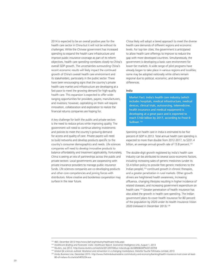2014 is expected to be an overall positive year for the health care sector in China but it will not be without its challenges. While the Chinese government has increased spending to expand the health care infrastructure and improve public insurance coverage as part of its reform objectives, health care spending correlates closely to China's overall GDP growth. The uncertainties surrounding China's recent economic results will likely impact the continued growth of China's overall health care environment and its stakeholders, particularly in the public sector. There have been encouraging signs that the country's private health care market and infrastructure are developing at a fast pace to meet the growing demand for high-quality health care. This expansion is expected to offer wideranging opportunities for providers, payers, manufacturers, and investors; however, capitalizing on them will require innovation, collaboration and exploration to realize the financial returns companies are hoping for.

A key challenge for both the public and private sectors is the need to reduce prices while improving quality. The government will need to continue altering investments and policies to meet the country's growing demand for access and quality of care. Private payers will need to build networks and develop products specific to the country's consumer demographics and needs. Life sciences companies will need to develop innovative products to balance affordability and treatment applicability. Fortunately, China is seeing an era of partnerships across the public and private sectors: Local governments are cooperating with private insurance providers to manage public insurance funds. Life sciences companies are co-developing products and other core competencies and joining forces with distributors. More creative and borderless cooperation may surface in the near future.

China likely will adopt a tiered approach to meet the diverse health care demands of different regions and economic levels. For top-tier cities, the government is anticipated to allow health care offerings to improve to reduce the gap with more developed countries. Simultaneously, the government is developing a basic care environment for lower-tier markets. A wide range of pilot programs have already began to take place in various regions and localities; some may be adopted nationally while others remain regional due to political, economic, and demographic differences.

#### India

Market Fact: India's health care industry (which includes hospitals, medical infrastructure, medical devices, clinical trials, outsourcing, telemedicine, health insurance and medical equipment) is developing at a great pace and is expected to reach \$160 billion by 2017, according to Frost & Sullivan.<sup>122</sup>

Spending on health care in India is estimated to be five percent of GDP in 2013. Total annual health care spending is expected to more than double from 2012-2017, to \$201.4 billion, an average annual growth rate of 15.8 percent.<sup>123</sup>

The double-digit growth registered by India's health care industry can be attributed to several socio-economic factors, including increasing sales of generic medicines (under its \$5.4 billion policy to provide free generic medicines to the Indian people),124 continued growth in chronic therapies, and a greater penetration in rural markets. Other growth drivers are heightened health awareness, increasing affluence, changing lifestyles resulting in higher incidence of related diseases, and increasing government expenditure on health care.125 Greater penetration of health insurance has also aided the growth in health care spending. The Indian government plans to cover health insurance for 80 percent of the population by 2020 under its Health Insurance Vision 2020 (released in December 2013).126

<sup>122</sup> IBEF, December 2013 http://www.ibef.org/industry/healthcare-india.aspx

<sup>&</sup>lt;sup>123</sup> Healthcare Briefing and Forecasts: India: Healthcare Report, Economist Intelligence Unit, August 1, 2013

<sup>124</sup> Reuters, July 2012. http://www.reuters.com/article/2012/07/04/us-india-drugs-idUSBRE8630PW20120704

<sup>&</sup>lt;sup>125</sup> Global life sciences outlook: Resilience and reinvention in a changing marketplace, Deloitte Touche Tohmatsu Limited, 2013

<sup>126</sup> Hindu Business Line, December 2013. http://www.thehindubusinessline.com/industry-and-economy/banking/health-insurance-must-cover-at-least-80-of-indians-ficci/article5455224.ece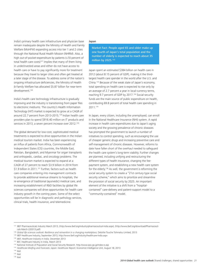India's primary health care infrastructure and physician base remain inadequate despite the Ministry of Health and Family Welfare (MoHFW) expanding access into tier 1 and 2 cities through the National Rural Health Mission (NHRM). Also, a high out-of-pocket-expenditure by patients (>70 percent of total health care costs)<sup>127</sup> implies that many of them living in underinvested areas and either do not have access to health care or have to pay significantly more for treatment because they travel to larger cities and often get treated at a later stage of the disease. To address some of the nation's ongoing infrastructure deficiencies, the Ministry of Health & Family Welfare has allocated \$5.87 billion for near-term development.<sup>128</sup>

India's health care technology infrastructure is gradually improving and the industry is transitioning from paper files to electronic mediums. The country's Health Information Technology (HIT) market is expected to grow at a CAGR of around 22.7 percent from 2013-2015.<sup>129</sup> Indian health care providers plan to spend \$916.40 million on IT products and services in 2013, a seven percent increase over 2012.<sup>130</sup>

The global demand for low-cost, sophisticated medical treatments is expected to drive opportunities in the Indian medical tourism market. India has been experiencing an influx of patients from Africa, Commonwealth of Independent States (CIS) countries, the Middle East, Pakistan, Bangladesh, and Myanmar for organ transplants and orthopedic, cardiac, and oncology problems. The medical tourism market is expected to expand at a CAGR of 27 percent to reach \$3.9 billion in 2014 from \$1.9 billion in 2011.<sup>131</sup> Further, factors such as health care companies entering into management contracts to provide additional revenue streams to hospitals, the re-emergence of traditional (ayurvedic) medical care, and increasing establishment of R&D facilities by global life sciences companies will drive opportunities for health care industry growth in the coming years. Some of the select opportunities will be in diagnostic and pathology services, clinical trials, health insurance, and telemedicine.

#### Japan

Market Fact: People aged 65 and older make up one fourth of Japan's total population and the number of elderly is expected to reach about 35 million by 2025.<sup>132</sup>

Japan spent an estimated \$384 billion on health care in 2012 (about 8.15 percent of GDP), making it the thirdlargest health care spender in the world after the U.S. and China.133 Because of the weak state of Japan's economy, total spending on health care is expected to rise only by an average of 2.7 percent a year in local-currency terms, reaching 9.7 percent of GDP by 2017.<sup>134</sup> Social-security funds are the main source of public expenditure on health, contributing 69.8 percent of total health care spending in 2011.135

In Japan, every citizen, including the unemployed, can enroll in the National Healthcare Insurance (NHI) system. A rapid increase in health care expenditures due to Japan's aging society and the growing prevalence of chronic diseases has prompted the government to launch a number of initiatives to control spending, such as encouraging the use of cheaper generic drugs and increasing preventive care and self-management of chronic diseases. However, reforms to date have fallen short of the overhaul needed to safeguard the health care system's long-term viability. Further changes are planned, including unifying and restructuring the different types of health insurance, changing the feepayment system, and establishing a new health care system for the elderly.136 As well, the government is reforming the social security system to create a "21st century-type social security scheme," which aims to prioritize and streamline the provision of social security by 2025. An important element of the initiative is a shift from a "hospitalcontained" care-delivery and patient-support model to a "community-contained" model.

<sup>127</sup> IBEF Pharmaceuticals Industry March 2013, (http://www.ibef.org/industry/pharmaceutical-india.aspx), (http://www.ibef.org/download/Pharmaceuticals-March-220313.pdf)

<sup>128</sup> *Global life sciences outlook: Resilience and reinvention in a changing marketplace,* Deloitte Touche Tohmatsu Limited, 2013

<sup>129</sup> IBEF Healthcare Industry, September 2013, http://www.ibef.org/industry/healthcare-india.aspx

<sup>130</sup> *IBEF, Healthcare Industry in India,* December 2013

<sup>131</sup> BEF, Healthcare Industry in India, March 2013

<sup>132</sup> National Institute of Population and Social Security Research. http://www.ipss.go.jp/index-e.asp

<sup>133</sup> *Healthcare Briefing and Forecasts: Japan: Healthcare Report,* Economist Intelligence Unit, August 18, 2013

<sup>134</sup> Ibid

<sup>135</sup> Ibid

<sup>136</sup> Ibid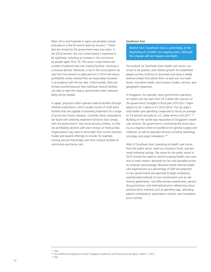Most clinics and hospitals in Japan are privately owned and paid on a fee-for-service basis by insurers;<sup>137</sup> these fees are revised by the government every two years. In the 2014 revision, the cost control policy is expected to be tightened, including an increase in the cost borne by people aged 70 to 74. This action could reduce the number of patients that visit medical facilities, resulting in a revenue decline. Moreover, a rise in the consumption tax rate from five percent to eight percent in 2014 will reduce profitability unless medical fees are reasonably increased in accordance with the tax hike. Unfortunately, there are limited countermeasures that individual medical facilities can take to ease the impact; government relief measures likely will be needed.

In Japan, physicians often operate medical facilities through medical corporations, which usually consist of small-sized facilities that are capable of providing treatment for a range of acute and chronic diseases. Currently, these corporations are faced with selecting treatment functions that comply with the government's new social security scheme, or they risk profitability declines with each revision of medical fees. Organizations may need to reconsider their current business model and expand offerings to include, for example, nursing services that bridge care from medical facilities to community and home care.

#### Southeast Asia

Market Fact: Southeast Asia is, potentially, at the beginning of a health care tipping point, although this change will not happen overnight.

The outlook for Southeast Asia's health care sector continues to be positive, with relative growth for established players as they continue to dominate and enjoy a steady revenue stream that allows them to look into non-traditional, innovative health care business models, services, and geographic expansion.

In Singapore, for example, direct government spending on health care has risen from \$3.3 billion (8.5 percent of the government's budget) in fiscal year 2010-2011 (April-March) to \$5.7 billion in FY 2013-2014. The city state's total health care spending is expected to rise by an average of 7.9 percent annually (in U.S. dollar terms) until 2017.<sup>138</sup> Building on the world-class reputation of Singapore's health care services, the government is promoting the local industry as a regional center of excellence for general surgery and medicine, as well as specialist services including cardiology, oncology, and organ transplants.<sup>139</sup>

Most of Southeast Asia's spending on health care comes from the public sector, state-run insurance funds, and personal individual savings. Top issues for the public sector in 2014 include the need to control runaway health care costs and to meet citizens' demands for fair and equitable access to universal care/coverage. Because overall national health care expenditures as a percentage of GDP are projected to rise, governments are expected to begin employing sophisticated methods of cost containment such as risksharing agreements, cost-effectiveness assessments, generic drug promotion, and international price referencing versus previous blunt methods such as spending caps, allocating patient contributions, prescription controls, and mandatory price controls.

<sup>137</sup> Ibid

<sup>&</sup>lt;sup>138</sup> *EIU Healthcare Briefings & Forecast: Singapore Healthcare and Pharmaceuticals Report, March 1, 2013* 139 Ibid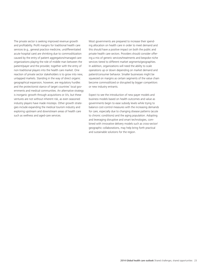The private sector is seeking improved revenue growth and profitability. Profit margins for traditional health care services (e.g., general practice medicine, undifferentiated acute hospital care) are shrinking due to commoditization caused by the entry of patient aggregators/managed care organizations playing the role of middle man between the patient/payer and the provider, together with the entry of non-traditional players into the health care market. One reaction of private sector stakeholders is to grow into new, untapped markets. Standing in the way of direct organic geographical expansion, however, are regulatory hurdles and the protectionist stance of target countries' local governments and medical communities. An alternative strategy is inorganic growth through acquisitions or JVs, but these ventures are not without inherent risk, as even seasoned industry players have made missteps. Other growth strategies include expanding the medical tourism industry and exploring upstream and downstream areas of health care such as wellness and aged-care services.

Most governments are prepared to increase their spending allocation on health care in order to meet demand and this should have a positive impact on both the public and private health care sectors. Providers should consider offering a mix of generic services/treatments and bespoke niche services tiered to different market segments/geographies. In addition, organizations will need the ability to scale operations up or down depending on market demand and patient/consumer behavior. Smaller businesses might be squeezed on margins as certain segments of the value chain become commoditized or disrupted by bigger competitors or new industry entrants.

Expect to see the introduction of new payer models and business models based on health outcomes and value as governments begin to ease subsidy levels while trying to balance cost-control measures with the increasing demands for care, especially due to changing disease patterns (acute to chronic conditions) and the aging population. Adopting and leveraging disruptive and smart technologies, combined with innovative delivery models such as cross-sector/ geographic collaborations, may help bring forth practical and sustainable solutions for the region.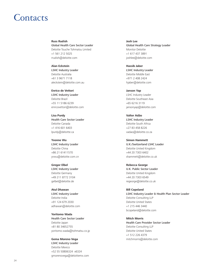### **Contacts**

**Russ Rudish** Global Health Care Sector Leader Deloitte Touche Tohmatsu Limited +1 561 212 5025 rrudish@deloitte.com

**Alan Eckstein** LSHC Industry Leader Deloitte Australia +61 3 9671 7118 aleckstein@deloitte.com.au

**Enrico de Vettori** LSHC Industry Leader Deloitte Brazil +55 11 5186 6239 enricovettori@deloitte.com

**Lisa Purdy** Health Care Sector Leader Deloitte Canada +1 416 601 6403 lpurdy@deloitte.ca

**Yvonne Wu** LSHC Industry Leader Deloitte China +86 21 61411570 yvwu@deloitte.com.cn

**Gregor Elbel** LSHC Industry Leader Deloitte Germany +49 211 8772 3104 gelbel@deloitte.de

**Atul Dhawan** LSHC Industry Leader Deloitte India +91 124 679 2030 adhawan@deloitte.com

**Yoritomo Wada** Health Care Sector Leader Deloitte Japan +81 80 34652755 yoritomo.wada@tohmatsu.co.jp

**Gema Moreno Vega** LSHC Industry Leader Deloitte Mexico +52 55 50806324 x6324 gmorenovega@deloittemx.com **Josh Lee** Global Health Care Strategy Leader Monitor Deloitte +1 617 437 3891 joshlee@deloitte.com

**Hassib Jaber** LSHC Industry Leader Deloitte Middle East +971 2 408 2424 hjaber@deloitte.com

**Janson Yap** LSHC Industry Leader Deloitte Southeast Asia +65 6216 3119 jansonyap@deloitte.com

**Valter Adão** LSHC Industry Leader Deloitte South Africa +27 83 458 8226 vadao@deloitte.co.za

**Simon Hammett** U.K./Switzerland LSHC Leader Deloitte United Kingdom +44 20 7303 6402 shammett@deloitte.co.uk

**Rebecca George** U.K. Public Sector Leader Deloitte United Kingdom +44 20 7303 6549 regeorge@deloitte.co.uk

**Bill Copeland** LSHC Industry Leader & Health Plan Sector Leader Deloitte Consulting LLP Deloitte United States +1 215 446 3440 bcopeland@deloitte.com

**Mitch Morris** Health Care Provider Sector Leader Deloitte Consulting LLP Deloitte United States +1 512 226 4379 mitchmorris@deloitte.com